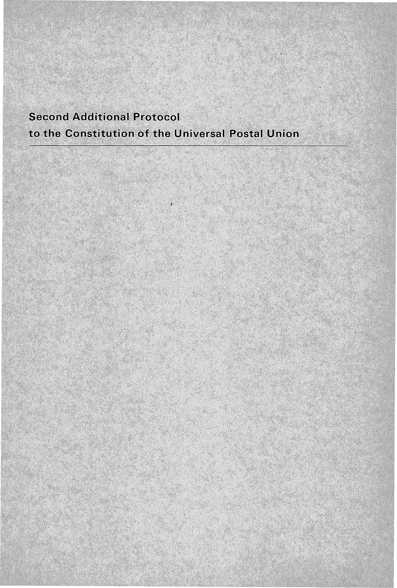# **Second Additional Protocol** to the Constitution of the Universal Postal Union

J.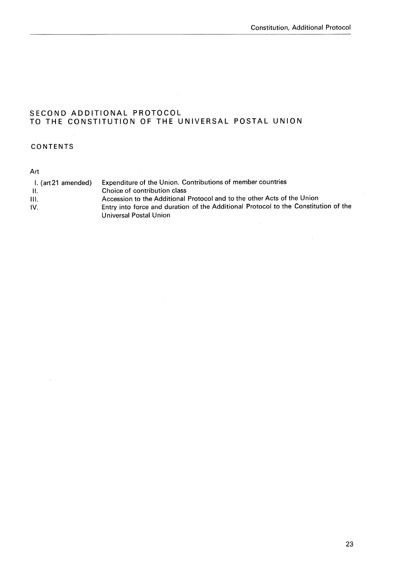# SECOND ADDITIONAL PROTOCOL TO THE CONSTITUTION OF THE UNIVERSAL POSTAL UNION

## CONTENTS

## Art

| I. (art 21 amended) | Expenditure of the Union. Contributions of member countries                         |
|---------------------|-------------------------------------------------------------------------------------|
| -11.                | Choice of contribution class                                                        |
| III.                | Accession to the Additional Protocol and to the other Acts of the Union             |
| IV.                 | Entry into force and duration of the Additional Protocol to the Constitution of the |
|                     | Universal Postal Union                                                              |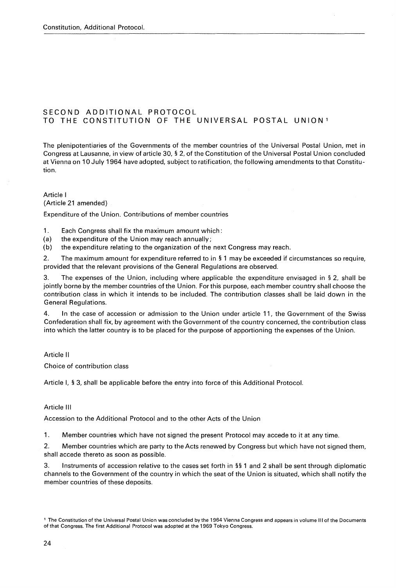## SECOND ADDITIONAL PROTOCOL TO THE CONSTITUTION OF THE UNIVERSAL POSTAL UNION <sup>1</sup>

The plenipotentiaries of the Governments of the member countries of the Universal Postal Union, met in Congress at Lausanne, in view of article 30, § 2, of the Constitution of the Universal Postal Union concluded at Vienna on 10 July 1964 have adopted, subject to ratification, the following amendments to that Constitution.

Article 1 (Article 21 amended)

Expenditure of the Union. Contributions of member countries

1. Each Congress shall fix the maximum amount which:

(a) the expenditure of the Union may reach annually;

(b) the expenditure relating to the organization of the next Congress may reach.

2. The maximum amount for expenditure referred to in § 1 may be exceeded if circumstances so require, provided that the relevant provisions of the General Regulations are observed.

3. The expenses of the Union, including where applicable the expenditure envisaged in § 2, shall be jointly borne by the member countries of the Union. For this purpose, each member country shall choose the contribution class in which it intends to be included. The contribution classes shall be laid down in the General Regulations.

4. ln the case of accession or admission to the Union under article 11, the Government of the Swiss Confederation shall fix, by agreement with the Government of the country concerned, the contribution class into which the latter country is to be placed for the purpose of apportioning the expenses of the Union.

Article Il

Choice of contribution class

Article 1, § 3, shall be applicable before the entry into force of this Additional Protocol.

#### Article Ill

Accession to the Additional Protocol and to the other Acts of the Union

1. Member countries which have not signed the present Protocol may accede to it at any time.

2. Member countries which are party to the Acts renewed by Congress but which have not signed them, shall accede thereto as soon as possible.

3. Instruments of accession relative to the cases set forth in §§ 1 and 2 shall be sent through diplomatie channels to the Government of the country in which the seat of the Union is situated, which shall notify the member countries of these deposits.

<sup>1</sup>The Constitution of the Universal Postal Union was concluded by the 1964 Vienna Congress and appears in volume 111 of the Documents of that Congress. The first Additional Protocol was adopted at the 1969 Tokyo Congress.